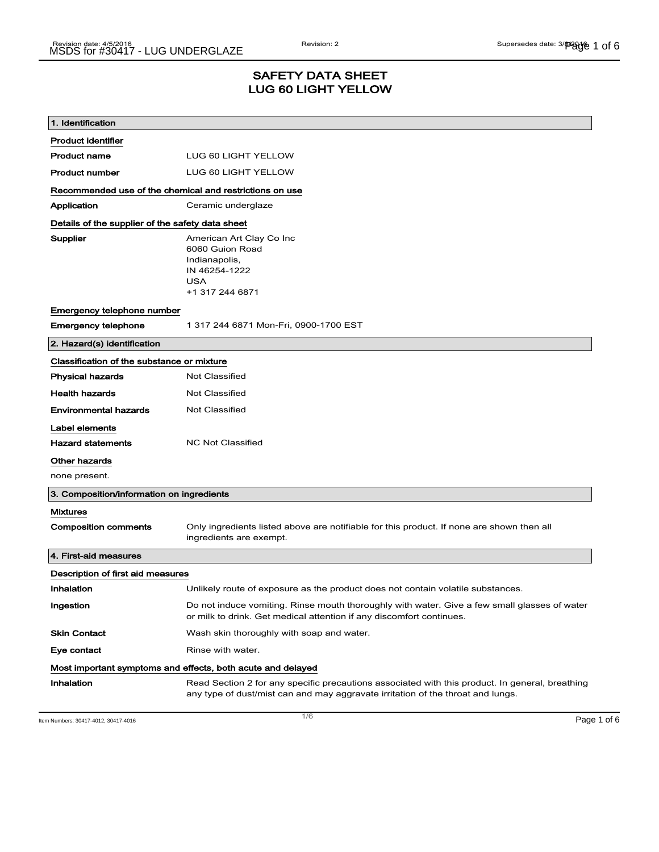### SAFETY DATA SHEET LUG 60 LIGHT YELLOW

| 1. Identification                                           |                                                                                                                                                                                    |  |
|-------------------------------------------------------------|------------------------------------------------------------------------------------------------------------------------------------------------------------------------------------|--|
| <b>Product identifier</b>                                   |                                                                                                                                                                                    |  |
| Product name                                                | LUG 60 LIGHT YELLOW                                                                                                                                                                |  |
| <b>Product number</b>                                       | LUG 60 LIGHT YELLOW                                                                                                                                                                |  |
| Recommended use of the chemical and restrictions on use     |                                                                                                                                                                                    |  |
| Application                                                 | Ceramic underglaze                                                                                                                                                                 |  |
| Details of the supplier of the safety data sheet            |                                                                                                                                                                                    |  |
| Supplier                                                    | American Art Clay Co Inc<br>6060 Guion Road<br>Indianapolis,<br>IN 46254-1222<br><b>USA</b><br>+1 317 244 6871                                                                     |  |
| Emergency telephone number                                  |                                                                                                                                                                                    |  |
| <b>Emergency telephone</b>                                  | 1 317 244 6871 Mon-Fri, 0900-1700 EST                                                                                                                                              |  |
| 2. Hazard(s) identification                                 |                                                                                                                                                                                    |  |
| Classification of the substance or mixture                  |                                                                                                                                                                                    |  |
| <b>Physical hazards</b>                                     | <b>Not Classified</b>                                                                                                                                                              |  |
| <b>Health hazards</b>                                       | <b>Not Classified</b>                                                                                                                                                              |  |
| Environmental hazards                                       | Not Classified                                                                                                                                                                     |  |
| Label elements                                              |                                                                                                                                                                                    |  |
| <b>Hazard statements</b>                                    | <b>NC Not Classified</b>                                                                                                                                                           |  |
| Other hazards                                               |                                                                                                                                                                                    |  |
| none present.                                               |                                                                                                                                                                                    |  |
| 3. Composition/information on ingredients                   |                                                                                                                                                                                    |  |
| <b>Mixtures</b>                                             |                                                                                                                                                                                    |  |
| <b>Composition comments</b>                                 | Only ingredients listed above are notifiable for this product. If none are shown then all<br>ingredients are exempt.                                                               |  |
| 4. First-aid measures                                       |                                                                                                                                                                                    |  |
| Description of first aid measures                           |                                                                                                                                                                                    |  |
| Inhalation                                                  | Unlikely route of exposure as the product does not contain volatile substances.                                                                                                    |  |
| Ingestion                                                   | Do not induce vomiting. Rinse mouth thoroughly with water. Give a few small glasses of water<br>or milk to drink. Get medical attention if any discomfort continues.               |  |
| Skin Contact                                                | Wash skin thoroughly with soap and water.                                                                                                                                          |  |
| Eye contact                                                 | Rinse with water.                                                                                                                                                                  |  |
| Most important symptoms and effects, both acute and delayed |                                                                                                                                                                                    |  |
| Inhalation                                                  | Read Section 2 for any specific precautions associated with this product. In general, breathing<br>any type of dust/mist can and may aggravate irritation of the throat and lungs. |  |

Item Numbers: 30417-4012, 30417-4016 Page 1 of 6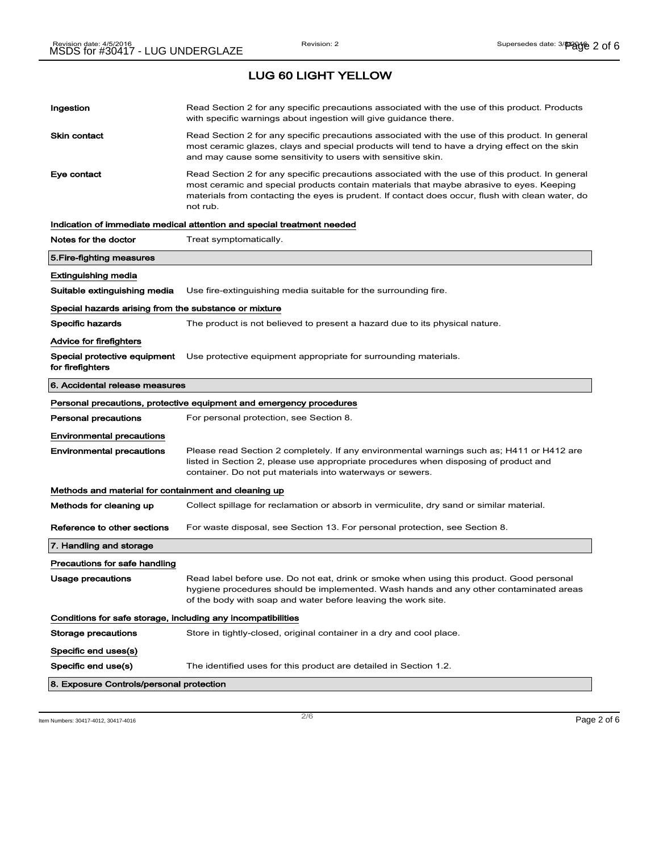LUG 60 LIGHT YELLOW

| Ingestion                                                    | Read Section 2 for any specific precautions associated with the use of this product. Products<br>with specific warnings about ingestion will give guidance there.                                                                                                                                           |
|--------------------------------------------------------------|-------------------------------------------------------------------------------------------------------------------------------------------------------------------------------------------------------------------------------------------------------------------------------------------------------------|
| <b>Skin contact</b>                                          | Read Section 2 for any specific precautions associated with the use of this product. In general<br>most ceramic glazes, clays and special products will tend to have a drying effect on the skin<br>and may cause some sensitivity to users with sensitive skin.                                            |
| Eye contact                                                  | Read Section 2 for any specific precautions associated with the use of this product. In general<br>most ceramic and special products contain materials that maybe abrasive to eyes. Keeping<br>materials from contacting the eyes is prudent. If contact does occur, flush with clean water, do<br>not rub. |
|                                                              | Indication of immediate medical attention and special treatment needed                                                                                                                                                                                                                                      |
| Notes for the doctor                                         | Treat symptomatically.                                                                                                                                                                                                                                                                                      |
| 5. Fire-fighting measures                                    |                                                                                                                                                                                                                                                                                                             |
| Extinguishing media                                          |                                                                                                                                                                                                                                                                                                             |
| Suitable extinguishing media                                 | Use fire-extinguishing media suitable for the surrounding fire.                                                                                                                                                                                                                                             |
| Special hazards arising from the substance or mixture        |                                                                                                                                                                                                                                                                                                             |
| <b>Specific hazards</b>                                      | The product is not believed to present a hazard due to its physical nature.                                                                                                                                                                                                                                 |
| <b>Advice for firefighters</b>                               |                                                                                                                                                                                                                                                                                                             |
| Special protective equipment<br>for firefighters             | Use protective equipment appropriate for surrounding materials.                                                                                                                                                                                                                                             |
| 6. Accidental release measures                               |                                                                                                                                                                                                                                                                                                             |
|                                                              | Personal precautions, protective equipment and emergency procedures                                                                                                                                                                                                                                         |
|                                                              |                                                                                                                                                                                                                                                                                                             |
| <b>Personal precautions</b>                                  | For personal protection, see Section 8.                                                                                                                                                                                                                                                                     |
| <b>Environmental precautions</b>                             |                                                                                                                                                                                                                                                                                                             |
| <b>Environmental precautions</b>                             | Please read Section 2 completely. If any environmental warnings such as; H411 or H412 are<br>listed in Section 2, please use appropriate procedures when disposing of product and<br>container. Do not put materials into waterways or sewers.                                                              |
| Methods and material for containment and cleaning up         |                                                                                                                                                                                                                                                                                                             |
| Methods for cleaning up                                      | Collect spillage for reclamation or absorb in vermiculite, dry sand or similar material.                                                                                                                                                                                                                    |
| Reference to other sections                                  | For waste disposal, see Section 13. For personal protection, see Section 8.                                                                                                                                                                                                                                 |
| 7. Handling and storage                                      |                                                                                                                                                                                                                                                                                                             |
| Precautions for safe handling                                |                                                                                                                                                                                                                                                                                                             |
| Usage precautions                                            | Read label before use. Do not eat, drink or smoke when using this product. Good personal<br>hygiene procedures should be implemented. Wash hands and any other contaminated areas<br>of the body with soap and water before leaving the work site.                                                          |
| Conditions for safe storage, including any incompatibilities |                                                                                                                                                                                                                                                                                                             |
| <b>Storage precautions</b>                                   | Store in tightly-closed, original container in a dry and cool place.                                                                                                                                                                                                                                        |
| Specific end uses(s)                                         |                                                                                                                                                                                                                                                                                                             |
| Specific end use(s)                                          | The identified uses for this product are detailed in Section 1.2.                                                                                                                                                                                                                                           |

Item Numbers: 30417-4012, 30417-4016 Page 2 of 6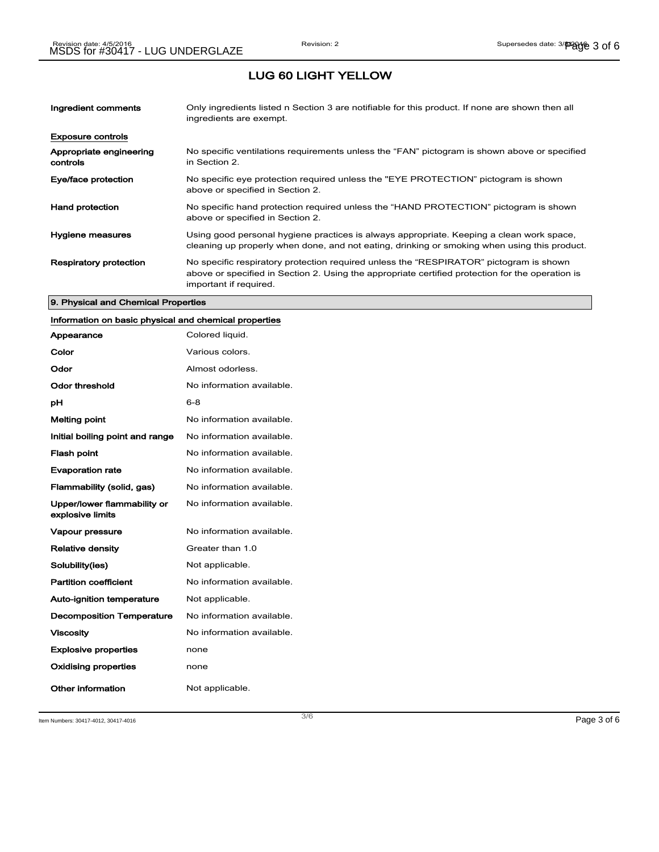## LUG 60 LIGHT YELLOW

| Ingredient comments                 | Only ingredients listed n Section 3 are notifiable for this product. If none are shown then all<br>ingredients are exempt.                                                                                           |
|-------------------------------------|----------------------------------------------------------------------------------------------------------------------------------------------------------------------------------------------------------------------|
| <b>Exposure controls</b>            |                                                                                                                                                                                                                      |
| Appropriate engineering<br>controls | No specific ventilations requirements unless the "FAN" pictogram is shown above or specified<br>in Section 2.                                                                                                        |
| Eye/face protection                 | No specific eye protection required unless the "EYE PROTECTION" pictogram is shown<br>above or specified in Section 2.                                                                                               |
| <b>Hand protection</b>              | No specific hand protection required unless the "HAND PROTECTION" pictogram is shown<br>above or specified in Section 2.                                                                                             |
| Hygiene measures                    | Using good personal hygiene practices is always appropriate. Keeping a clean work space,<br>cleaning up properly when done, and not eating, drinking or smoking when using this product.                             |
| <b>Respiratory protection</b>       | No specific respiratory protection required unless the "RESPIRATOR" pictogram is shown<br>above or specified in Section 2. Using the appropriate certified protection for the operation is<br>important if required. |

#### 9. Physical and Chemical Properties

## Information on basic physical and chemical properties

| Appearance                                      | Colored liquid.           |
|-------------------------------------------------|---------------------------|
| Color                                           | Various colors.           |
| Odor                                            | Almost odorless.          |
| Odor threshold                                  | No information available. |
| рH                                              | $6 - 8$                   |
| <b>Melting point</b>                            | No information available. |
| Initial boiling point and range                 | No information available. |
| <b>Flash point</b>                              | No information available. |
| <b>Evaporation rate</b>                         | No information available. |
| Flammability (solid, gas)                       | No information available. |
| Upper/lower flammability or<br>explosive limits | No information available. |
| <b>Vapour pressure</b>                          | No information available. |
| <b>Relative density</b>                         | Greater than 1.0          |
| Solubility(ies)                                 | Not applicable.           |
| <b>Partition coefficient</b>                    | No information available. |
| <b>Auto-ignition temperature</b>                | Not applicable.           |
| <b>Decomposition Temperature</b>                | No information available. |
| <b>Viscosity</b>                                | No information available. |
| <b>Explosive properties</b>                     | none                      |
| <b>Oxidising properties</b>                     | none                      |
| Other information                               | Not applicable.           |

Item Numbers: 30417-4012, 30417-4016 Page 3 of 6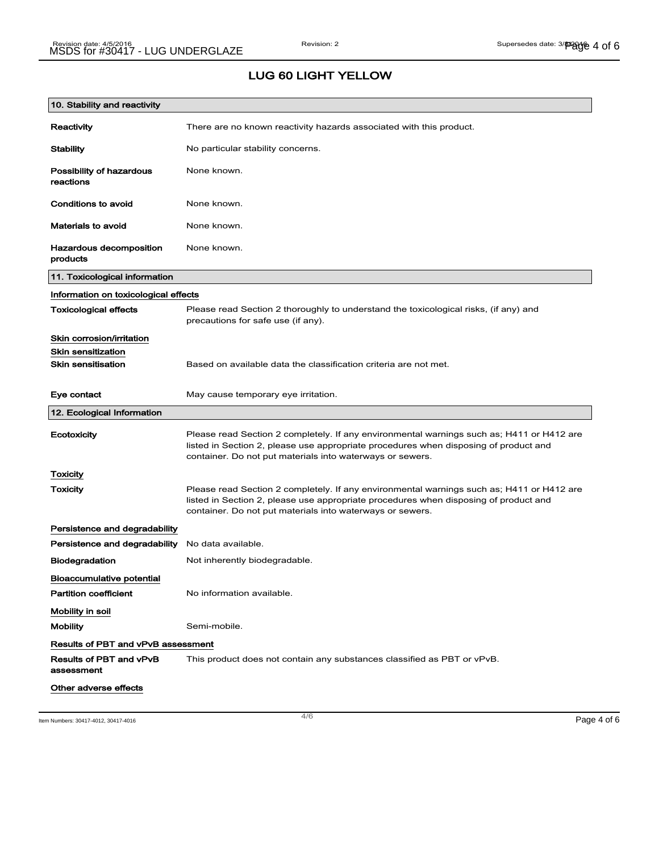## LUG 60 LIGHT YELLOW

| 10. Stability and reactivity              |                                                                                                                                                                                                                                                |
|-------------------------------------------|------------------------------------------------------------------------------------------------------------------------------------------------------------------------------------------------------------------------------------------------|
| Reactivity                                | There are no known reactivity hazards associated with this product.                                                                                                                                                                            |
| <b>Stability</b>                          | No particular stability concerns.                                                                                                                                                                                                              |
| Possibility of hazardous<br>reactions     | None known.                                                                                                                                                                                                                                    |
| Conditions to avoid                       | None known.                                                                                                                                                                                                                                    |
| <b>Materials to avoid</b>                 | None known.                                                                                                                                                                                                                                    |
| Hazardous decomposition<br>products       | None known.                                                                                                                                                                                                                                    |
| 11. Toxicological information             |                                                                                                                                                                                                                                                |
| Information on toxicological effects      |                                                                                                                                                                                                                                                |
| <b>Toxicological effects</b>              | Please read Section 2 thoroughly to understand the toxicological risks, (if any) and<br>precautions for safe use (if any).                                                                                                                     |
| Skin corrosion/irritation                 |                                                                                                                                                                                                                                                |
| <b>Skin sensitization</b>                 |                                                                                                                                                                                                                                                |
| <b>Skin sensitisation</b>                 | Based on available data the classification criteria are not met.                                                                                                                                                                               |
| Eye contact                               | May cause temporary eye irritation.                                                                                                                                                                                                            |
| 12. Ecological Information                |                                                                                                                                                                                                                                                |
| Ecotoxicity                               | Please read Section 2 completely. If any environmental warnings such as; H411 or H412 are<br>listed in Section 2, please use appropriate procedures when disposing of product and<br>container. Do not put materials into waterways or sewers. |
| Toxicity                                  |                                                                                                                                                                                                                                                |
| Toxicity                                  | Please read Section 2 completely. If any environmental warnings such as; H411 or H412 are<br>listed in Section 2, please use appropriate procedures when disposing of product and<br>container. Do not put materials into waterways or sewers. |
| Persistence and degradability             |                                                                                                                                                                                                                                                |
| Persistence and degradability             | No data available.                                                                                                                                                                                                                             |
| <b>Biodegradation</b>                     | Not inherently biodegradable.                                                                                                                                                                                                                  |
| <b>Bioaccumulative potential</b>          |                                                                                                                                                                                                                                                |
| <b>Partition coefficient</b>              | No information available.                                                                                                                                                                                                                      |
| Mobility in soil                          |                                                                                                                                                                                                                                                |
| <b>Mobility</b>                           | Semi-mobile.                                                                                                                                                                                                                                   |
| <b>Results of PBT and vPvB assessment</b> |                                                                                                                                                                                                                                                |
| Results of PBT and vPvB<br>assessment     | This product does not contain any substances classified as PBT or vPvB.                                                                                                                                                                        |
| Other adverse effects                     |                                                                                                                                                                                                                                                |

Item Numbers: 30417-4012, 30417-4016 Page 4 of 6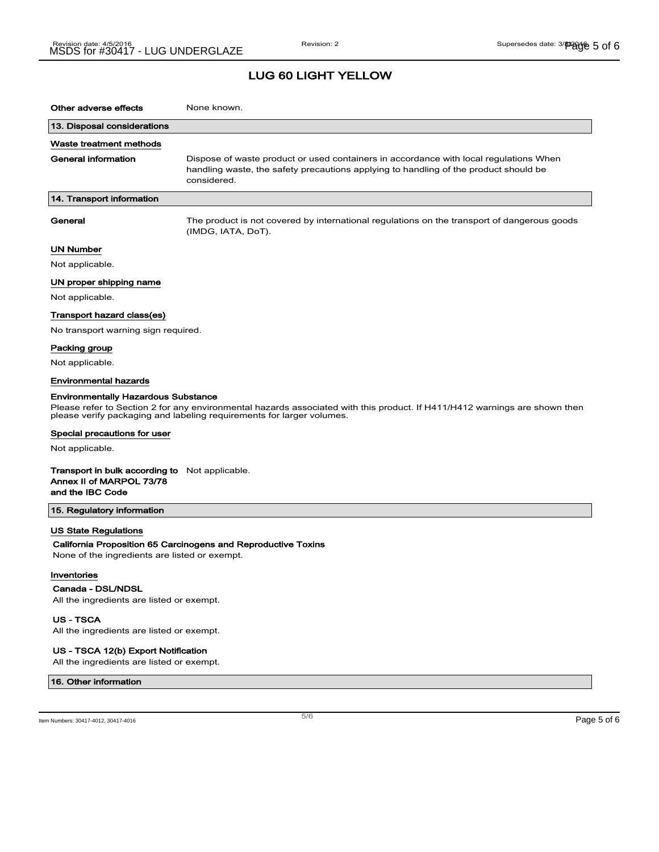#### LUG 60 LIGHT YELLOW

| Other adverse effects                                                                                                                                                                                                                             | None known.                                                                                                                                                                                  |  |
|---------------------------------------------------------------------------------------------------------------------------------------------------------------------------------------------------------------------------------------------------|----------------------------------------------------------------------------------------------------------------------------------------------------------------------------------------------|--|
| 13. Disposal considerations                                                                                                                                                                                                                       |                                                                                                                                                                                              |  |
| Waste treatment methods                                                                                                                                                                                                                           |                                                                                                                                                                                              |  |
| General information                                                                                                                                                                                                                               | Dispose of waste product or used containers in accordance with local regulations When<br>handling waste, the safety precautions applying to handling of the product should be<br>considered. |  |
| 14. Transport information                                                                                                                                                                                                                         |                                                                                                                                                                                              |  |
| General                                                                                                                                                                                                                                           | The product is not covered by international regulations on the transport of dangerous goods<br>(IMDG, IATA, DoT).                                                                            |  |
| <b>UN Number</b>                                                                                                                                                                                                                                  |                                                                                                                                                                                              |  |
| Not applicable.                                                                                                                                                                                                                                   |                                                                                                                                                                                              |  |
| UN proper shipping name                                                                                                                                                                                                                           |                                                                                                                                                                                              |  |
| Not applicable.                                                                                                                                                                                                                                   |                                                                                                                                                                                              |  |
| Transport hazard class(es)                                                                                                                                                                                                                        |                                                                                                                                                                                              |  |
| No transport warning sign required.                                                                                                                                                                                                               |                                                                                                                                                                                              |  |
| Packing group                                                                                                                                                                                                                                     |                                                                                                                                                                                              |  |
| Not applicable.                                                                                                                                                                                                                                   |                                                                                                                                                                                              |  |
| <b>Environmental hazards</b>                                                                                                                                                                                                                      |                                                                                                                                                                                              |  |
| <b>Environmentally Hazardous Substance</b><br>Please refer to Section 2 for any environmental hazards associated with this product. If H411/H412 warnings are shown then<br>please verify packaging and labeling requirements for larger volumes. |                                                                                                                                                                                              |  |
| Special precautions for user                                                                                                                                                                                                                      |                                                                                                                                                                                              |  |
| Not applicable.                                                                                                                                                                                                                                   |                                                                                                                                                                                              |  |
| <b>Transport in bulk according to</b> Not applicable.<br>Annex II of MARPOL 73/78<br>and the IBC Code                                                                                                                                             |                                                                                                                                                                                              |  |
| 15. Regulatory information                                                                                                                                                                                                                        |                                                                                                                                                                                              |  |
| <b>US State Regulations</b><br>None of the ingredients are listed or exempt.                                                                                                                                                                      | California Proposition 65 Carcinogens and Reproductive Toxins                                                                                                                                |  |
| Inventories                                                                                                                                                                                                                                       |                                                                                                                                                                                              |  |
| Canada - DSL/NDSL<br>All the ingredients are listed or exempt.                                                                                                                                                                                    |                                                                                                                                                                                              |  |
| US - TSCA                                                                                                                                                                                                                                         |                                                                                                                                                                                              |  |

All the ingredients are listed or exempt.

#### US - TSCA 12(b) Export Notification

All the ingredients are listed or exempt.

#### 16. Other information